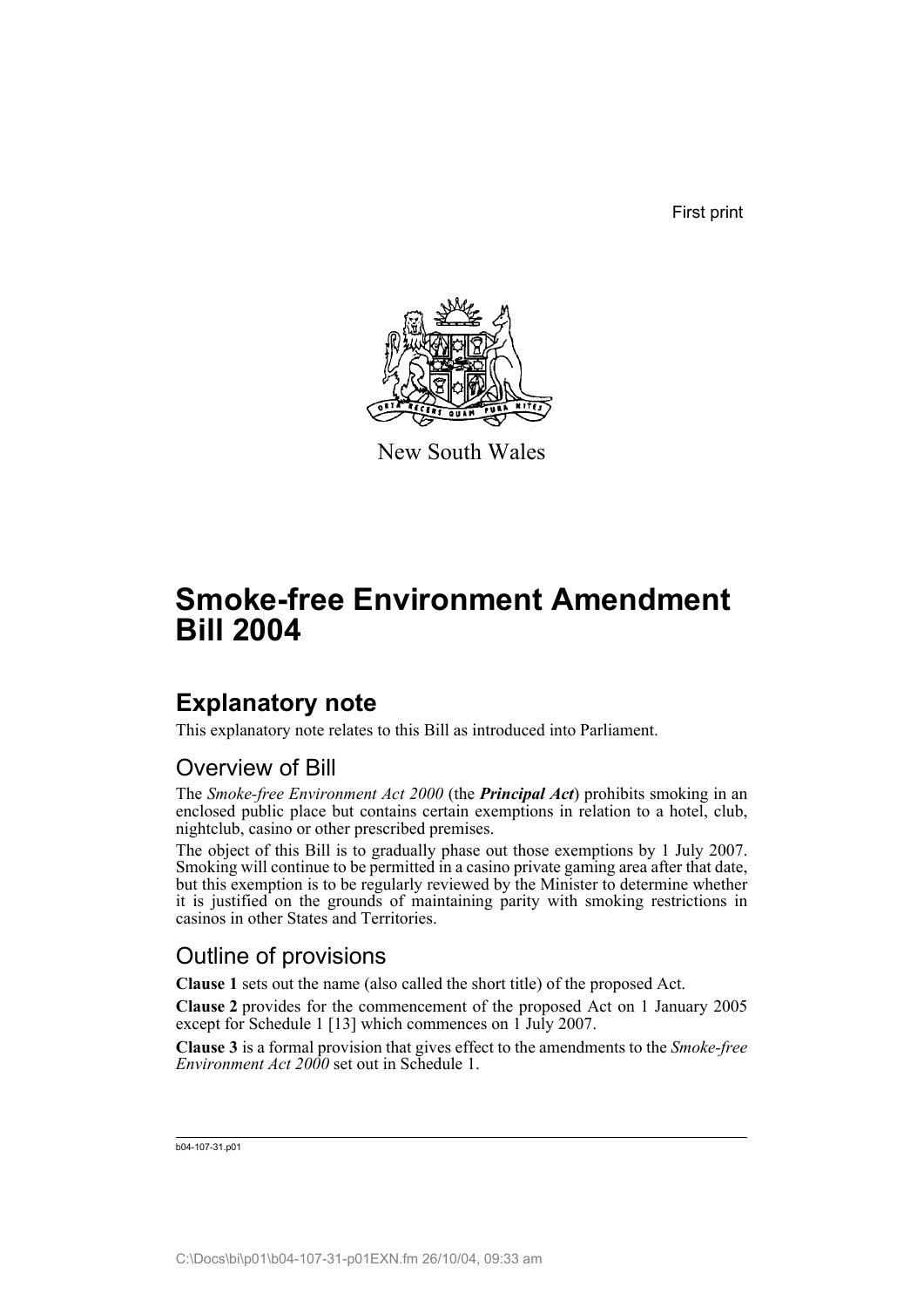First print



New South Wales

# **Smoke-free Environment Amendment Bill 2004**

## **Explanatory note**

This explanatory note relates to this Bill as introduced into Parliament.

## Overview of Bill

The *Smoke-free Environment Act 2000* (the *Principal Act*) prohibits smoking in an enclosed public place but contains certain exemptions in relation to a hotel, club, nightclub, casino or other prescribed premises.

The object of this Bill is to gradually phase out those exemptions by 1 July 2007. Smoking will continue to be permitted in a casino private gaming area after that date, but this exemption is to be regularly reviewed by the Minister to determine whether it is justified on the grounds of maintaining parity with smoking restrictions in casinos in other States and Territories.

## Outline of provisions

**Clause 1** sets out the name (also called the short title) of the proposed Act.

**Clause 2** provides for the commencement of the proposed Act on 1 January 2005 except for Schedule 1 [13] which commences on 1 July 2007.

**Clause 3** is a formal provision that gives effect to the amendments to the *Smoke-free Environment Act 2000* set out in Schedule 1.

b04-107-31.p01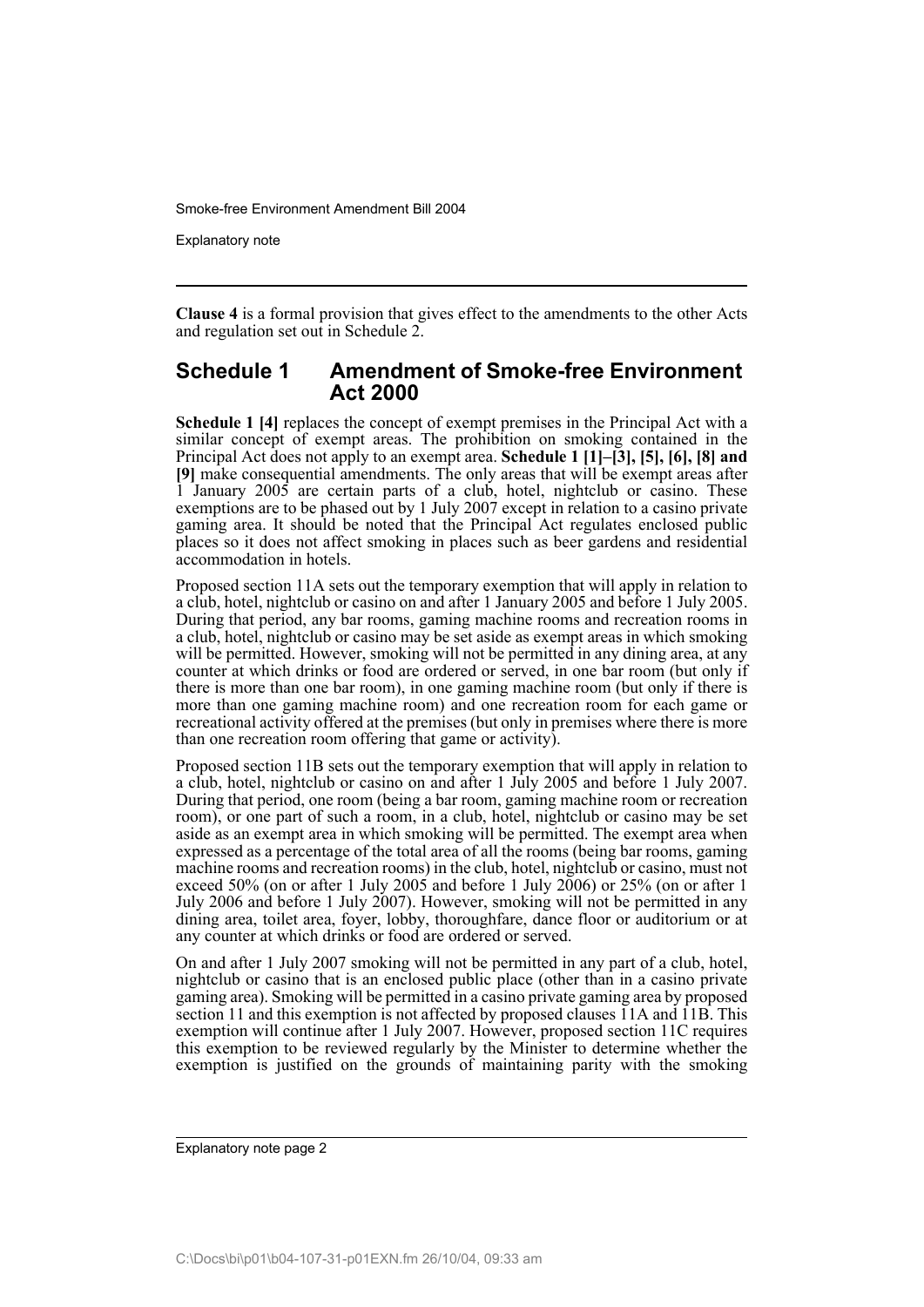Explanatory note

**Clause 4** is a formal provision that gives effect to the amendments to the other Acts and regulation set out in Schedule 2.

#### **Schedule 1 Amendment of Smoke-free Environment Act 2000**

**Schedule 1 [4]** replaces the concept of exempt premises in the Principal Act with a similar concept of exempt areas. The prohibition on smoking contained in the Principal Act does not apply to an exempt area. **Schedule 1 [1]–[3], [5], [6], [8] and [9]** make consequential amendments. The only areas that will be exempt areas after 1 January 2005 are certain parts of a club, hotel, nightclub or casino. These exemptions are to be phased out by 1 July 2007 except in relation to a casino private gaming area. It should be noted that the Principal Act regulates enclosed public places so it does not affect smoking in places such as beer gardens and residential accommodation in hotels.

Proposed section 11A sets out the temporary exemption that will apply in relation to a club, hotel, nightclub or casino on and after 1 January 2005 and before 1 July 2005. During that period, any bar rooms, gaming machine rooms and recreation rooms in a club, hotel, nightclub or casino may be set aside as exempt areas in which smoking will be permitted. However, smoking will not be permitted in any dining area, at any counter at which drinks or food are ordered or served, in one bar room (but only if there is more than one bar room), in one gaming machine room (but only if there is more than one gaming machine room) and one recreation room for each game or recreational activity offered at the premises (but only in premises where there is more than one recreation room offering that game or activity).

Proposed section 11B sets out the temporary exemption that will apply in relation to a club, hotel, nightclub or casino on and after 1 July 2005 and before 1 July 2007. During that period, one room (being a bar room, gaming machine room or recreation room), or one part of such a room, in a club, hotel, nightclub or casino may be set aside as an exempt area in which smoking will be permitted. The exempt area when expressed as a percentage of the total area of all the rooms (being bar rooms, gaming machine rooms and recreation rooms) in the club, hotel, nightclub or casino, must not exceed 50% (on or after 1 July 2005 and before 1 July 2006) or 25% (on or after 1 July 2006 and before 1 July 2007). However, smoking will not be permitted in any dining area, toilet area, foyer, lobby, thoroughfare, dance floor or auditorium or at any counter at which drinks or food are ordered or served.

On and after 1 July 2007 smoking will not be permitted in any part of a club, hotel, nightclub or casino that is an enclosed public place (other than in a casino private gaming area). Smoking will be permitted in a casino private gaming area by proposed section 11 and this exemption is not affected by proposed clauses 11A and 11B. This exemption will continue after 1 July 2007. However, proposed section 11C requires this exemption to be reviewed regularly by the Minister to determine whether the exemption is justified on the grounds of maintaining parity with the smoking

Explanatory note page 2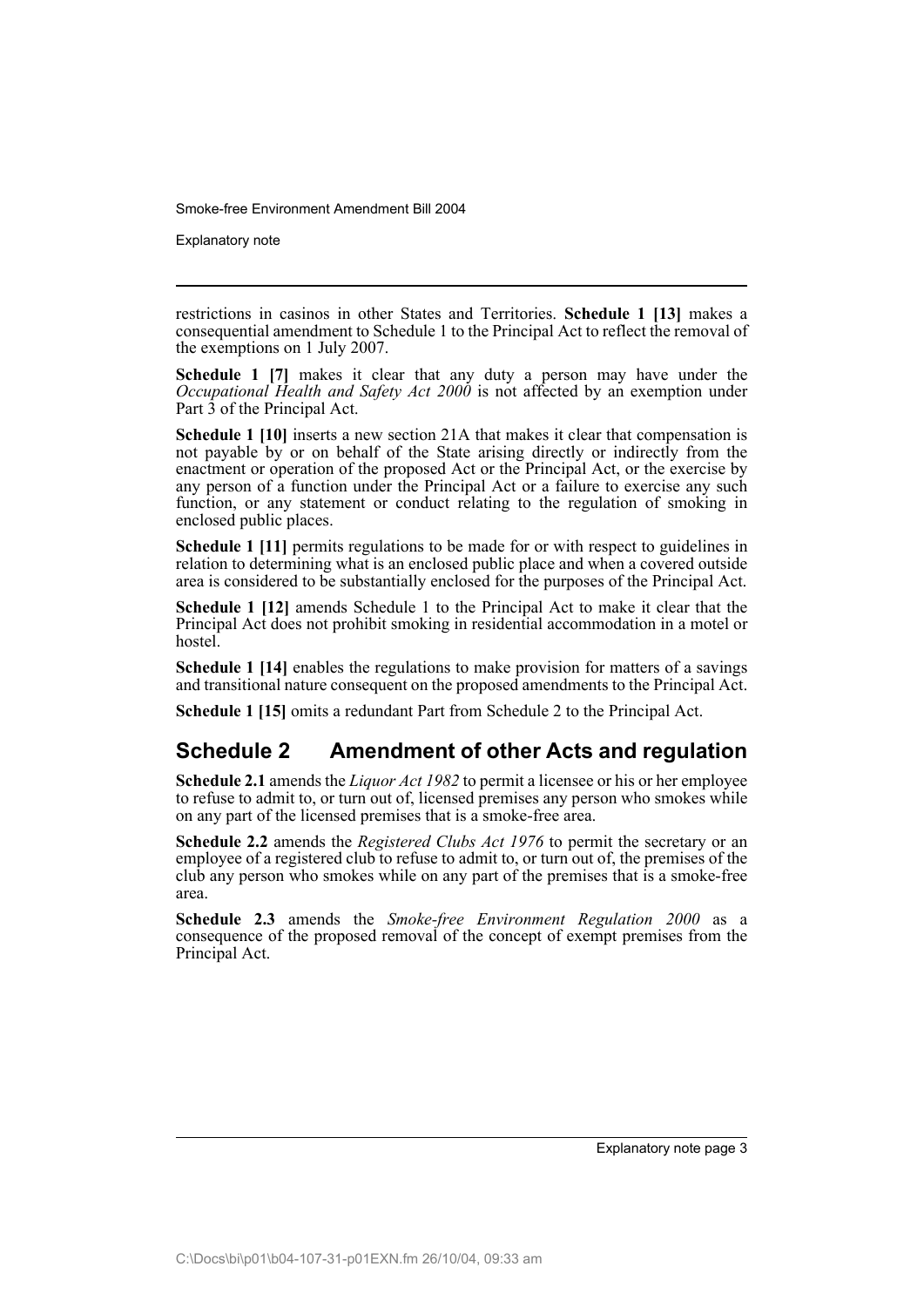Explanatory note

restrictions in casinos in other States and Territories. **Schedule 1 [13]** makes a consequential amendment to Schedule 1 to the Principal Act to reflect the removal of the exemptions on 1 July 2007.

**Schedule 1 [7]** makes it clear that any duty a person may have under the *Occupational Health and Safety Act 2000* is not affected by an exemption under Part 3 of the Principal Act.

**Schedule 1 [10]** inserts a new section 21A that makes it clear that compensation is not payable by or on behalf of the State arising directly or indirectly from the enactment or operation of the proposed Act or the Principal Act, or the exercise by any person of a function under the Principal Act or a failure to exercise any such function, or any statement or conduct relating to the regulation of smoking in enclosed public places.

**Schedule 1 [11]** permits regulations to be made for or with respect to guidelines in relation to determining what is an enclosed public place and when a covered outside area is considered to be substantially enclosed for the purposes of the Principal Act.

**Schedule 1 [12]** amends Schedule 1 to the Principal Act to make it clear that the Principal Act does not prohibit smoking in residential accommodation in a motel or hostel.

**Schedule 1 [14]** enables the regulations to make provision for matters of a savings and transitional nature consequent on the proposed amendments to the Principal Act.

**Schedule 1 [15]** omits a redundant Part from Schedule 2 to the Principal Act.

### **Schedule 2 Amendment of other Acts and regulation**

**Schedule 2.1** amends the *Liquor Act 1982* to permit a licensee or his or her employee to refuse to admit to, or turn out of, licensed premises any person who smokes while on any part of the licensed premises that is a smoke-free area.

**Schedule 2.2** amends the *Registered Clubs Act 1976* to permit the secretary or an employee of a registered club to refuse to admit to, or turn out of, the premises of the club any person who smokes while on any part of the premises that is a smoke-free area.

**Schedule 2.3** amends the *Smoke-free Environment Regulation 2000* as a consequence of the proposed removal of the concept of exempt premises from the Principal Act.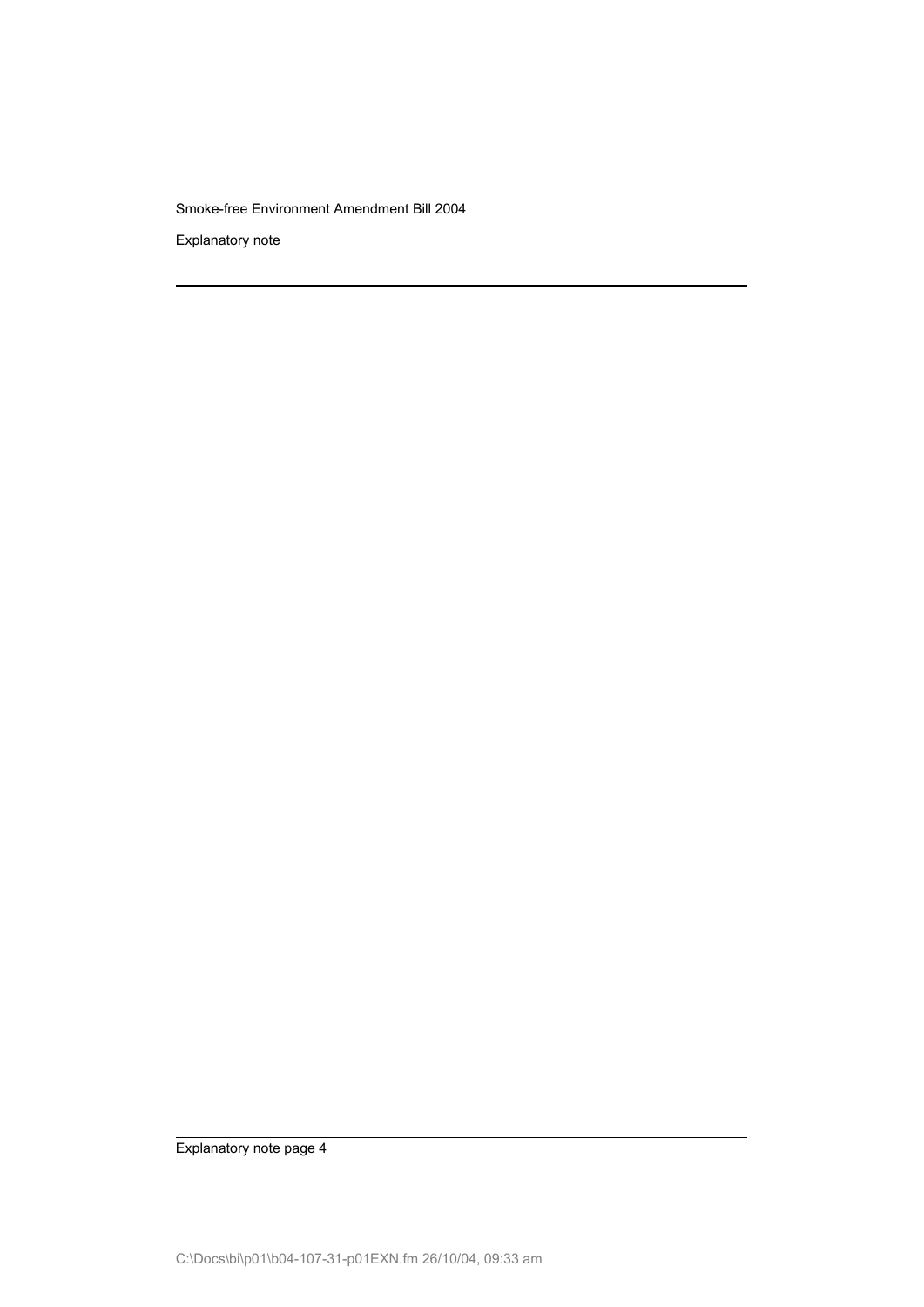Explanatory note

Explanatory note page 4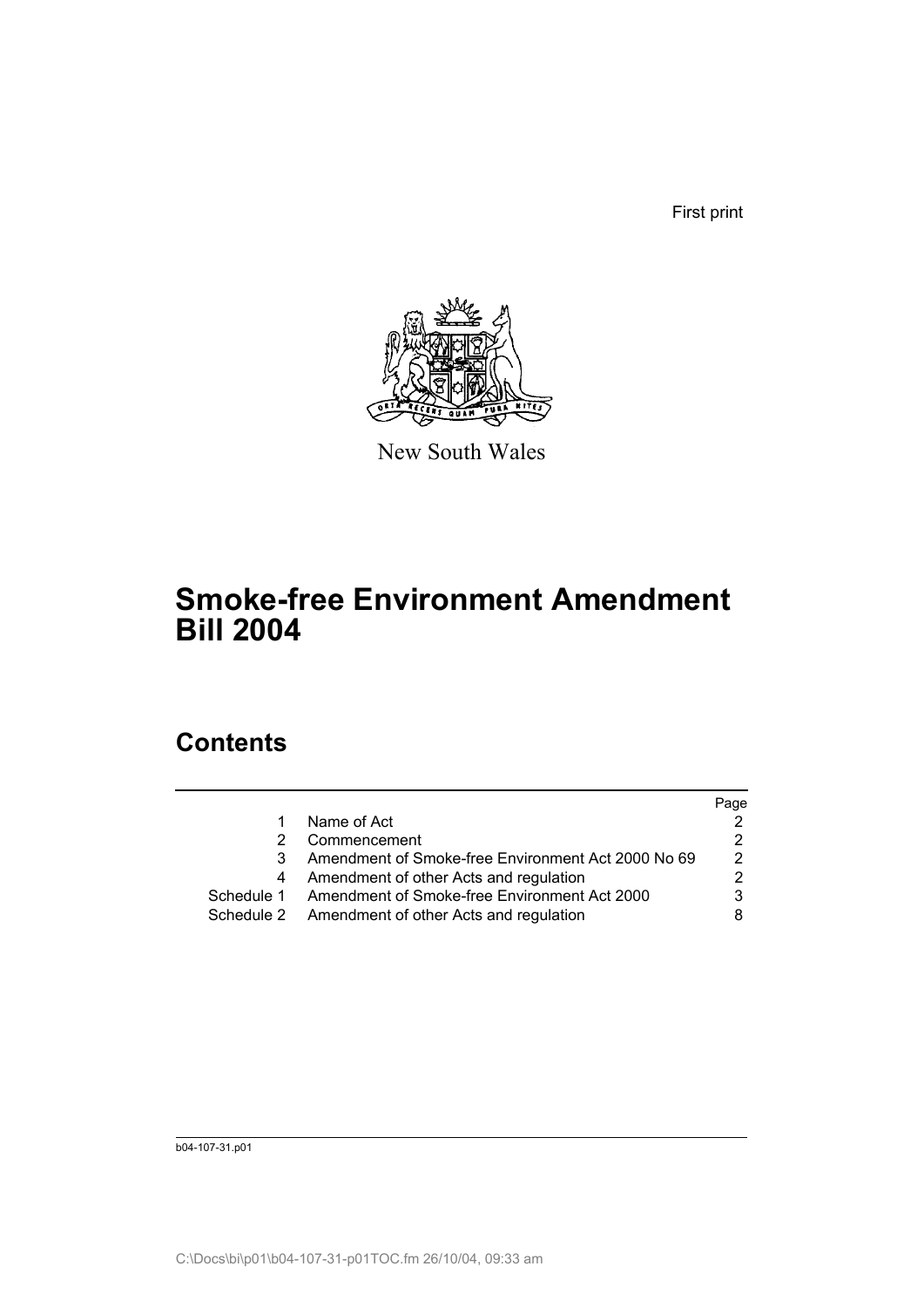First print



New South Wales

# **Smoke-free Environment Amendment Bill 2004**

## **Contents**

|                                                         | Page |
|---------------------------------------------------------|------|
| Name of Act                                             |      |
| Commencement                                            |      |
| Amendment of Smoke-free Environment Act 2000 No 69      | 2    |
| Amendment of other Acts and regulation                  |      |
| Schedule 1 Amendment of Smoke-free Environment Act 2000 | З    |
| Schedule 2 Amendment of other Acts and regulation       |      |
|                                                         |      |

b04-107-31.p01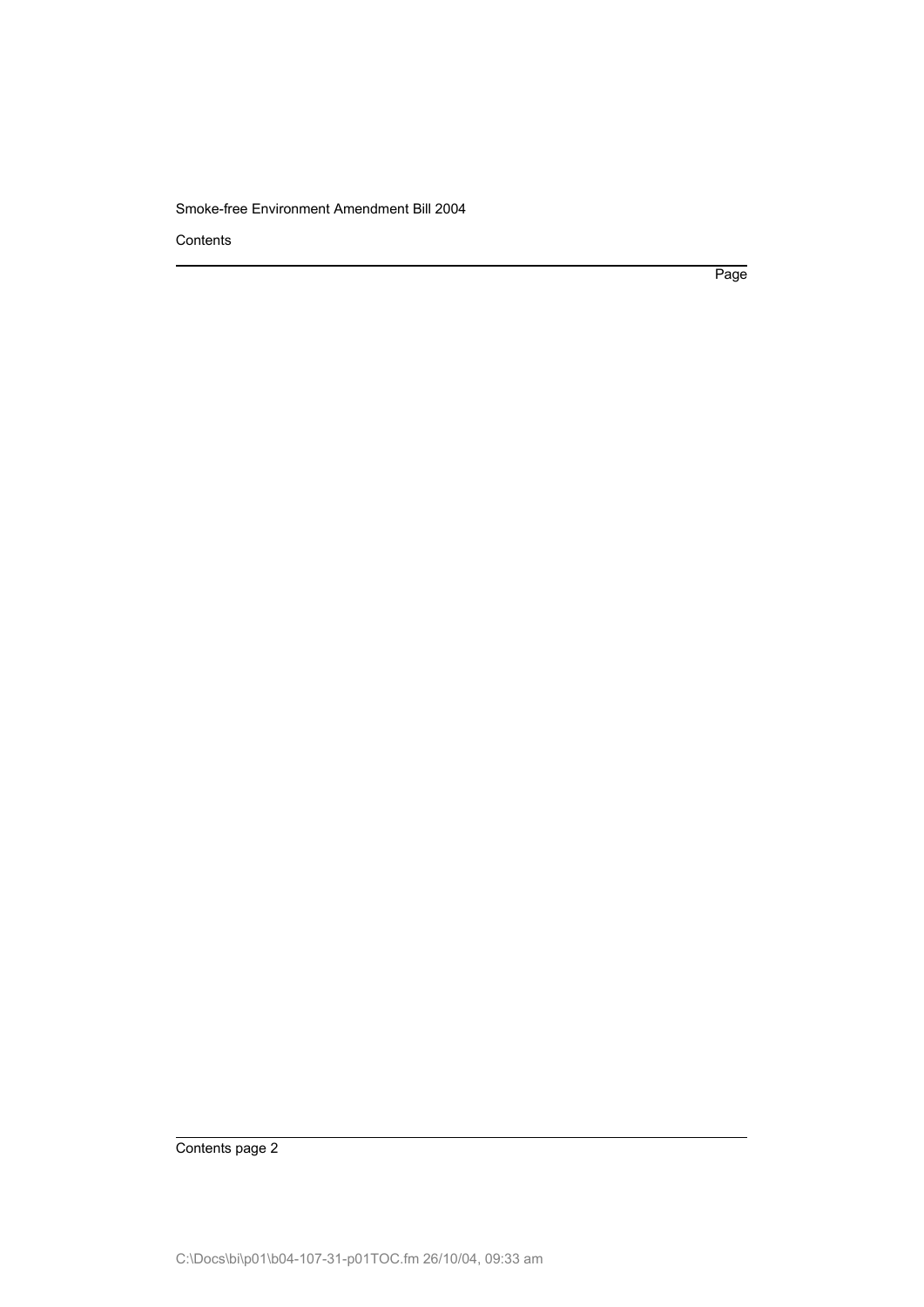**Contents** 

Page

Contents page 2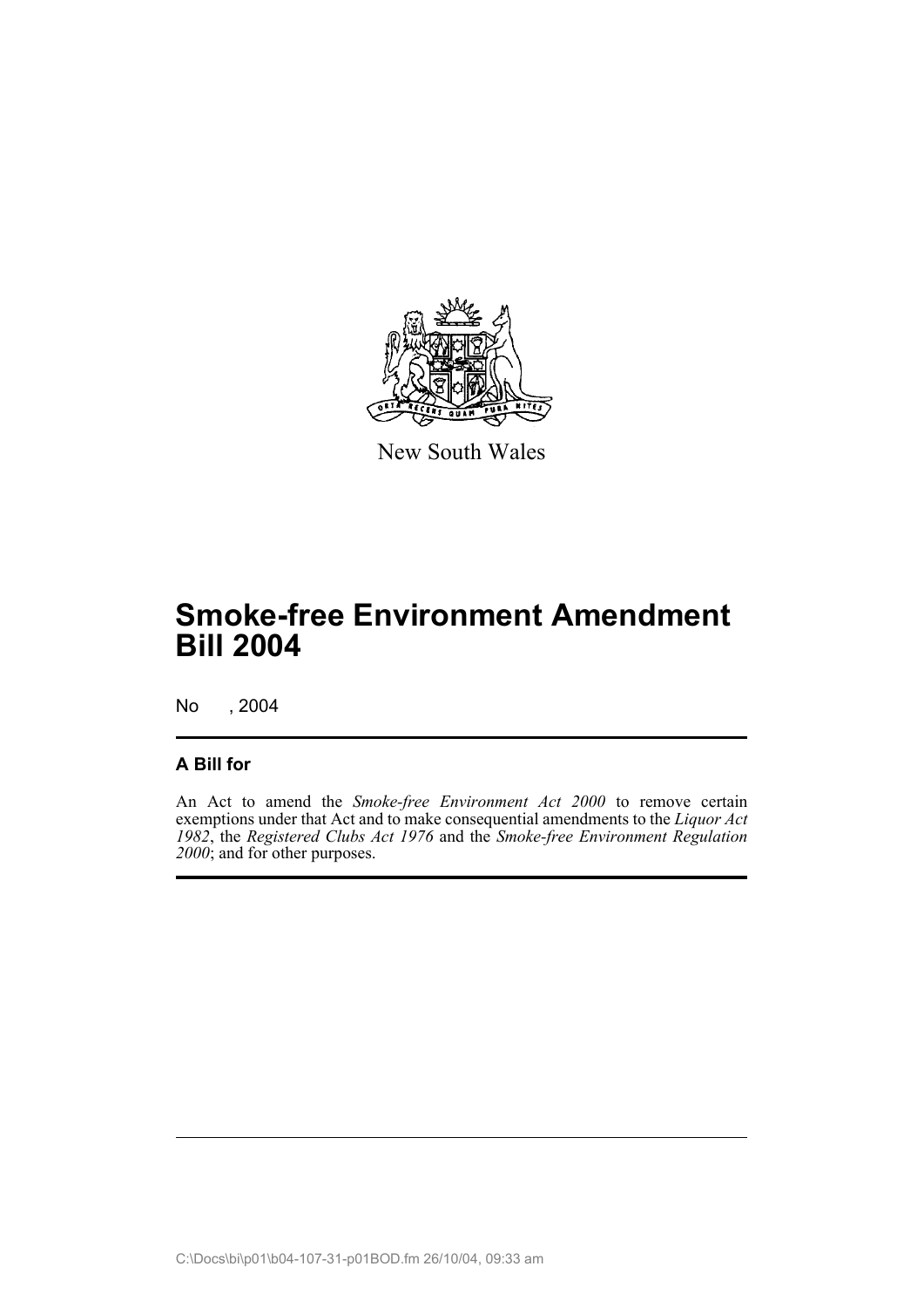

New South Wales

# **Smoke-free Environment Amendment Bill 2004**

No , 2004

#### **A Bill for**

An Act to amend the *Smoke-free Environment Act 2000* to remove certain exemptions under that Act and to make consequential amendments to the *Liquor Act 1982*, the *Registered Clubs Act 1976* and the *Smoke-free Environment Regulation 2000*; and for other purposes.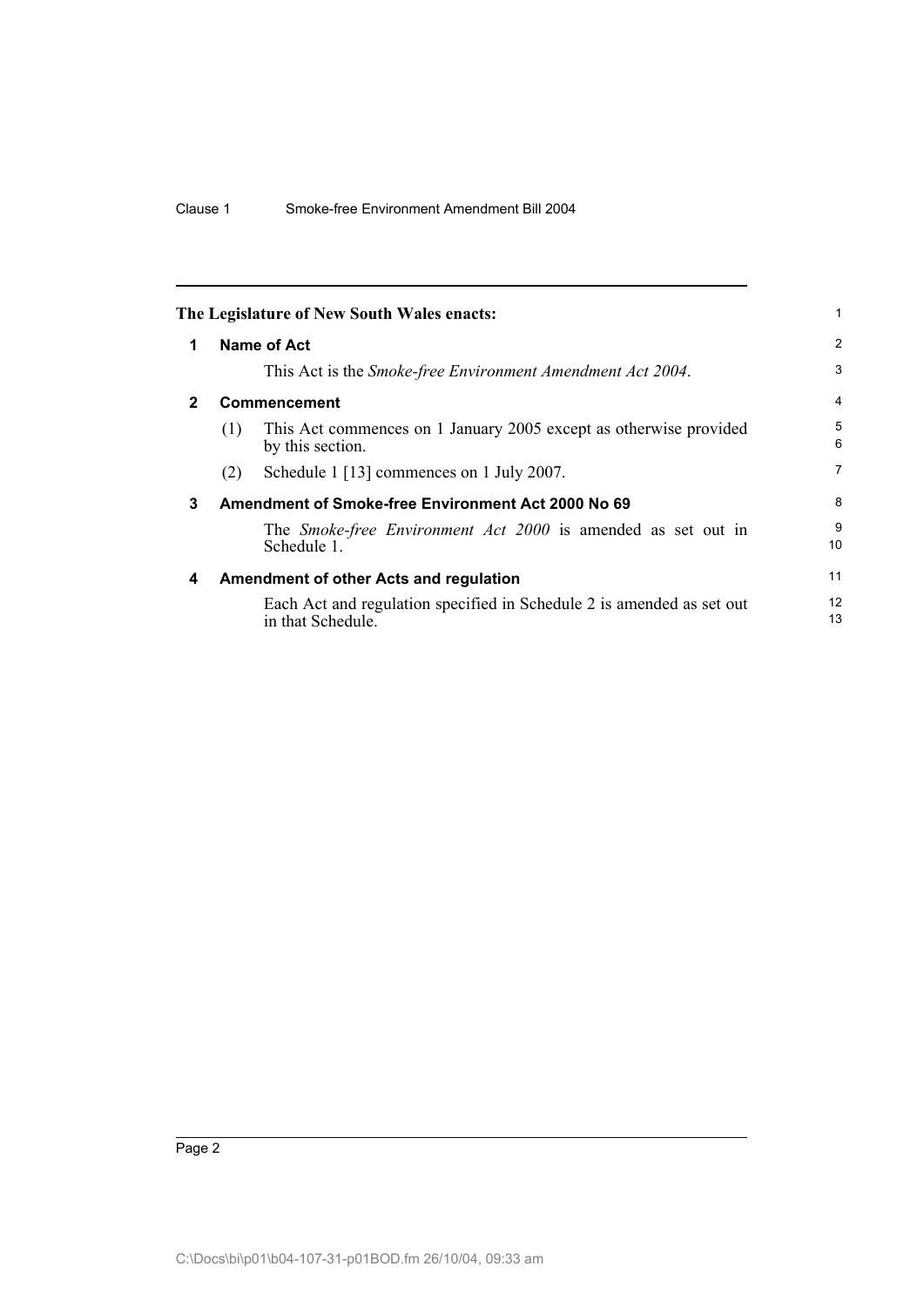<span id="page-7-3"></span><span id="page-7-2"></span><span id="page-7-1"></span><span id="page-7-0"></span>

|              |                     | The Legislature of New South Wales enacts:                                                 |          |  |
|--------------|---------------------|--------------------------------------------------------------------------------------------|----------|--|
| 1            |                     | <b>Name of Act</b>                                                                         | 2        |  |
|              |                     | This Act is the Smoke-free Environment Amendment Act 2004.                                 | 3        |  |
| $\mathbf{2}$ | <b>Commencement</b> |                                                                                            |          |  |
|              | (1)                 | This Act commences on 1 January 2005 except as otherwise provided<br>by this section.      | 5<br>6   |  |
|              | (2)                 | Schedule 1 [13] commences on 1 July 2007.                                                  | 7        |  |
| 3            |                     | Amendment of Smoke-free Environment Act 2000 No 69                                         | 8        |  |
|              |                     | The Smoke-free Environment Act 2000 is amended as set out in<br>Schedule 1.                | 9<br>10  |  |
| 4            |                     | Amendment of other Acts and regulation                                                     | 11       |  |
|              |                     | Each Act and regulation specified in Schedule 2 is amended as set out<br>in that Schedule. | 12<br>13 |  |
|              |                     |                                                                                            |          |  |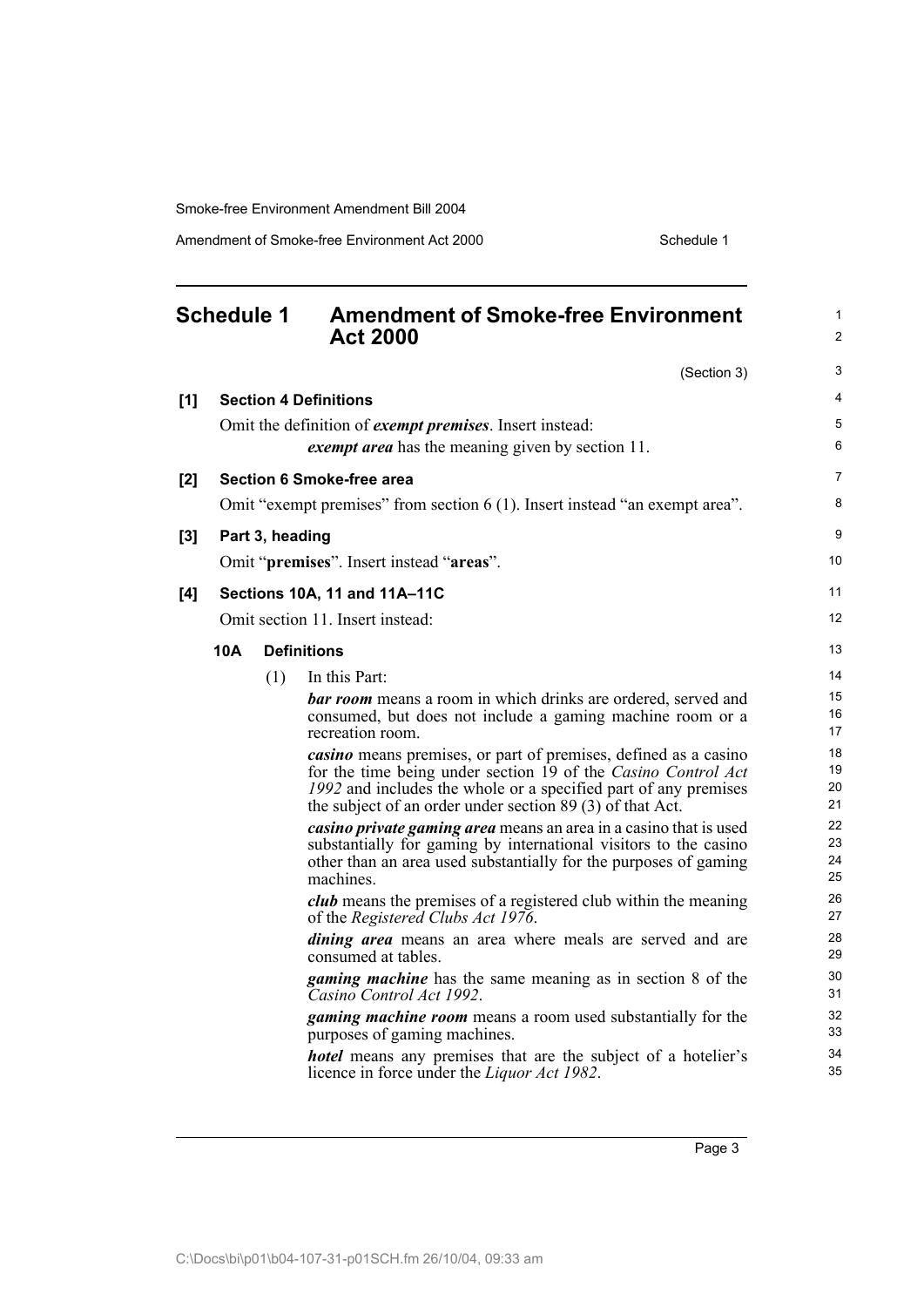Amendment of Smoke-free Environment Act 2000 Schedule 1

<span id="page-8-0"></span>

| <b>Schedule 1</b><br><b>Amendment of Smoke-free Environment</b><br><b>Act 2000</b> |     |                 | 1<br>$\overline{c}$                                                                                                          |          |
|------------------------------------------------------------------------------------|-----|-----------------|------------------------------------------------------------------------------------------------------------------------------|----------|
|                                                                                    |     |                 | (Section 3)                                                                                                                  | 3        |
| [1]                                                                                |     |                 | <b>Section 4 Definitions</b>                                                                                                 | 4        |
|                                                                                    |     |                 | Omit the definition of <i>exempt premises</i> . Insert instead:                                                              | 5        |
|                                                                                    |     |                 | <i>exempt area</i> has the meaning given by section 11.                                                                      | 6        |
| $[2]$                                                                              |     |                 | <b>Section 6 Smoke-free area</b>                                                                                             | 7        |
|                                                                                    |     |                 | Omit "exempt premises" from section 6 (1). Insert instead "an exempt area".                                                  | 8        |
| [3]                                                                                |     | Part 3, heading |                                                                                                                              | 9        |
|                                                                                    |     |                 | Omit "premises". Insert instead "areas".                                                                                     | 10       |
| [4]                                                                                |     |                 | Sections 10A, 11 and 11A-11C                                                                                                 | 11       |
|                                                                                    |     |                 | Omit section 11. Insert instead:                                                                                             | 12       |
|                                                                                    | 10A |                 | <b>Definitions</b>                                                                                                           | 13       |
|                                                                                    |     | (1)             | In this Part:                                                                                                                | 14       |
|                                                                                    |     |                 | <b>bar room</b> means a room in which drinks are ordered, served and                                                         | 15       |
|                                                                                    |     |                 | consumed, but does not include a gaming machine room or a<br>recreation room.                                                | 16<br>17 |
|                                                                                    |     |                 | casino means premises, or part of premises, defined as a casino                                                              | 18       |
|                                                                                    |     |                 | for the time being under section 19 of the Casino Control Act                                                                | 19       |
|                                                                                    |     |                 | 1992 and includes the whole or a specified part of any premises<br>the subject of an order under section 89 (3) of that Act. | 20<br>21 |
|                                                                                    |     |                 | casino private gaming area means an area in a casino that is used                                                            | 22       |
|                                                                                    |     |                 | substantially for gaming by international visitors to the casino                                                             | 23       |
|                                                                                    |     |                 | other than an area used substantially for the purposes of gaming<br>machines.                                                | 24<br>25 |
|                                                                                    |     |                 | <b><i>club</i></b> means the premises of a registered club within the meaning                                                | 26       |
|                                                                                    |     |                 | of the Registered Clubs Act 1976.                                                                                            | 27       |
|                                                                                    |     |                 | <i>dining area</i> means an area where meals are served and are<br>consumed at tables.                                       | 28<br>29 |
|                                                                                    |     |                 | <i>gaming machine</i> has the same meaning as in section 8 of the<br>Casino Control Act 1992.                                | 30<br>31 |
|                                                                                    |     |                 | <i>gaming machine room</i> means a room used substantially for the<br>purposes of gaming machines.                           | 32<br>33 |
|                                                                                    |     |                 | <b>hotel</b> means any premises that are the subject of a hotelier's<br>licence in force under the <i>Liquor Act 1982</i> .  | 34<br>35 |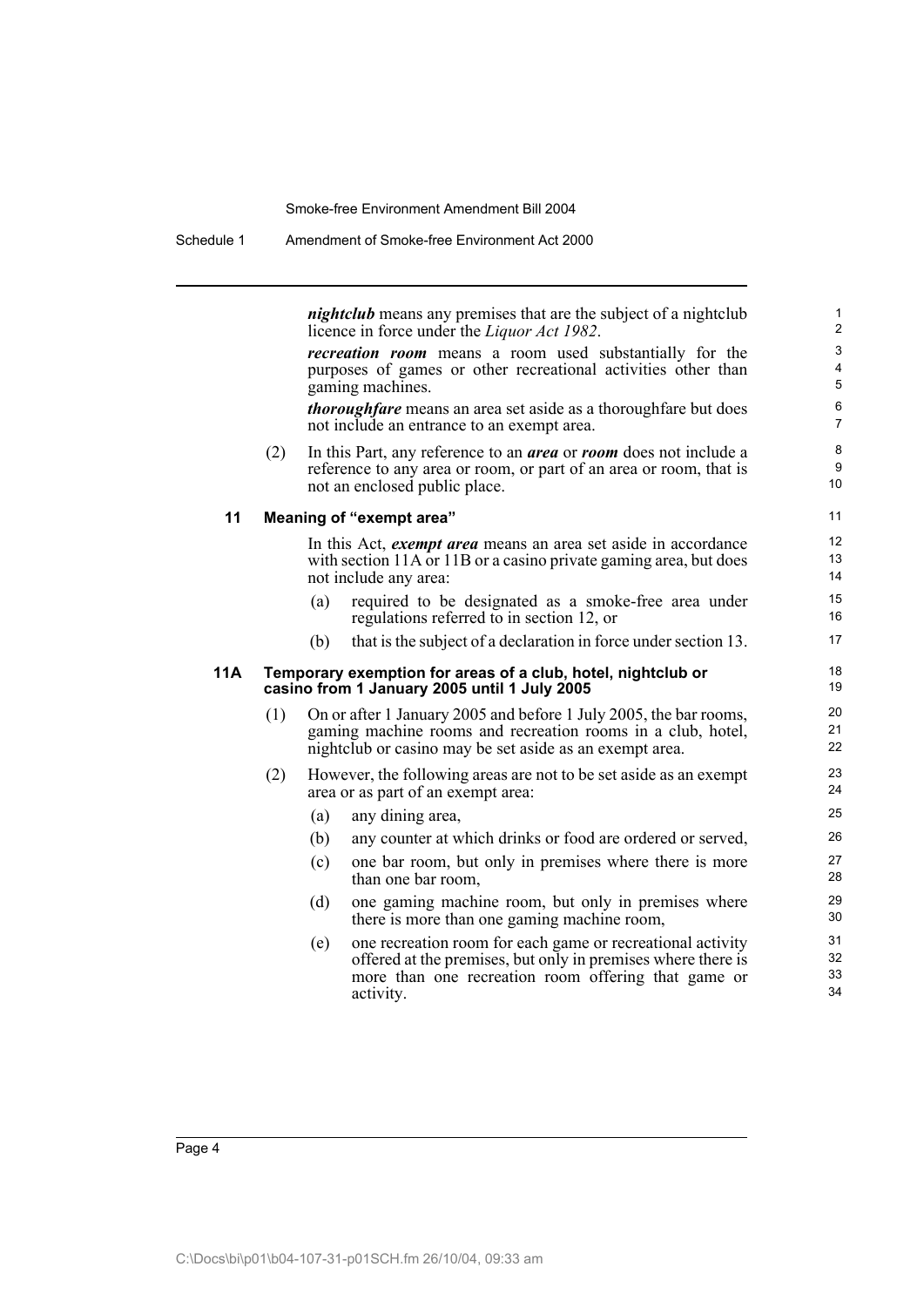Schedule 1 Amendment of Smoke-free Environment Act 2000

*nightclub* means any premises that are the subject of a nightclub licence in force under the *Liquor Act 1982*.

*recreation room* means a room used substantially for the purposes of games or other recreational activities other than gaming machines.

*thoroughfare* means an area set aside as a thoroughfare but does not include an entrance to an exempt area.

(2) In this Part, any reference to an *area* or *room* does not include a reference to any area or room, or part of an area or room, that is not an enclosed public place.

#### **11 Meaning of "exempt area"**

In this Act, *exempt area* means an area set aside in accordance with section 11A or 11B or a casino private gaming area, but does not include any area:

- (a) required to be designated as a smoke-free area under regulations referred to in section 12, or
- (b) that is the subject of a declaration in force under section 13.

#### **11A Temporary exemption for areas of a club, hotel, nightclub or casino from 1 January 2005 until 1 July 2005**

- (1) On or after 1 January 2005 and before 1 July 2005, the bar rooms, gaming machine rooms and recreation rooms in a club, hotel, nightclub or casino may be set aside as an exempt area.
- (2) However, the following areas are not to be set aside as an exempt area or as part of an exempt area:
	- (a) any dining area,
	- (b) any counter at which drinks or food are ordered or served,
	- (c) one bar room, but only in premises where there is more than one bar room,
	- (d) one gaming machine room, but only in premises where there is more than one gaming machine room,
	- (e) one recreation room for each game or recreational activity offered at the premises, but only in premises where there is more than one recreation room offering that game or activity.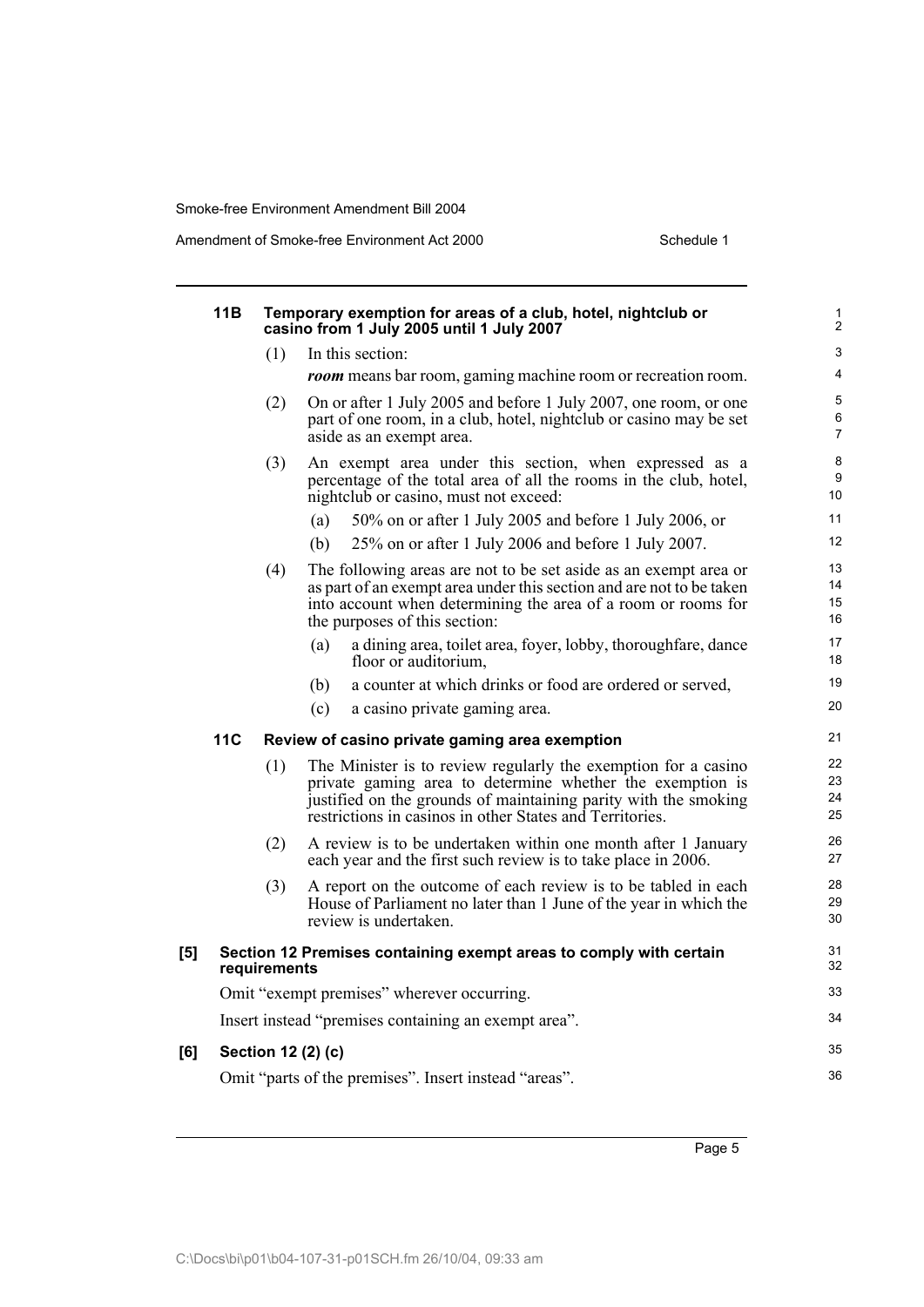Amendment of Smoke-free Environment Act 2000 Schedule 1

|     | 11B<br>Temporary exemption for areas of a club, hotel, nightclub or<br>casino from 1 July 2005 until 1 July 2007 |              |                                                                                                                                                                                                                                                            | $\mathbf{1}$<br>$\overline{2}$ |
|-----|------------------------------------------------------------------------------------------------------------------|--------------|------------------------------------------------------------------------------------------------------------------------------------------------------------------------------------------------------------------------------------------------------------|--------------------------------|
|     |                                                                                                                  | (1)          | In this section:                                                                                                                                                                                                                                           | 3                              |
|     |                                                                                                                  |              | room means bar room, gaming machine room or recreation room.                                                                                                                                                                                               | 4                              |
|     |                                                                                                                  | (2)          | On or after 1 July 2005 and before 1 July 2007, one room, or one<br>part of one room, in a club, hotel, nightclub or casino may be set<br>aside as an exempt area.                                                                                         | 5<br>6<br>$\overline{7}$       |
|     |                                                                                                                  | (3)          | An exempt area under this section, when expressed as a<br>percentage of the total area of all the rooms in the club, hotel,<br>nightclub or casino, must not exceed:                                                                                       | 8<br>9<br>10 <sup>1</sup>      |
|     |                                                                                                                  |              | 50% on or after 1 July 2005 and before 1 July 2006, or<br>(a)                                                                                                                                                                                              | 11                             |
|     |                                                                                                                  |              | 25% on or after 1 July 2006 and before 1 July 2007.<br>(b)                                                                                                                                                                                                 | 12                             |
|     |                                                                                                                  | (4)          | The following areas are not to be set aside as an exempt area or<br>as part of an exempt area under this section and are not to be taken<br>into account when determining the area of a room or rooms for<br>the purposes of this section:                 | 13<br>14<br>15<br>16           |
|     |                                                                                                                  |              | a dining area, toilet area, foyer, lobby, thoroughfare, dance<br>(a)<br>floor or auditorium,                                                                                                                                                               | 17<br>18                       |
|     |                                                                                                                  |              | a counter at which drinks or food are ordered or served,<br>(b)                                                                                                                                                                                            | 19                             |
|     |                                                                                                                  |              | (c)<br>a casino private gaming area.                                                                                                                                                                                                                       | 20                             |
|     | 11C                                                                                                              |              | Review of casino private gaming area exemption                                                                                                                                                                                                             | 21                             |
|     |                                                                                                                  | (1)          | The Minister is to review regularly the exemption for a casino<br>private gaming area to determine whether the exemption is<br>justified on the grounds of maintaining parity with the smoking<br>restrictions in casinos in other States and Territories. | 22<br>23<br>24<br>25           |
|     |                                                                                                                  | (2)          | A review is to be undertaken within one month after 1 January<br>each year and the first such review is to take place in 2006.                                                                                                                             | 26<br>27                       |
|     |                                                                                                                  | (3)          | A report on the outcome of each review is to be tabled in each<br>House of Parliament no later than 1 June of the year in which the<br>review is undertaken.                                                                                               | 28<br>29<br>30                 |
| [5] |                                                                                                                  | requirements | Section 12 Premises containing exempt areas to comply with certain                                                                                                                                                                                         | 31<br>32                       |
|     |                                                                                                                  |              | Omit "exempt premises" wherever occurring.                                                                                                                                                                                                                 | 33                             |
|     |                                                                                                                  |              | Insert instead "premises containing an exempt area".                                                                                                                                                                                                       | 34                             |
| [6] |                                                                                                                  |              | Section 12 (2) (c)                                                                                                                                                                                                                                         | 35                             |
|     |                                                                                                                  |              | Omit "parts of the premises". Insert instead "areas".                                                                                                                                                                                                      | 36                             |

Page 5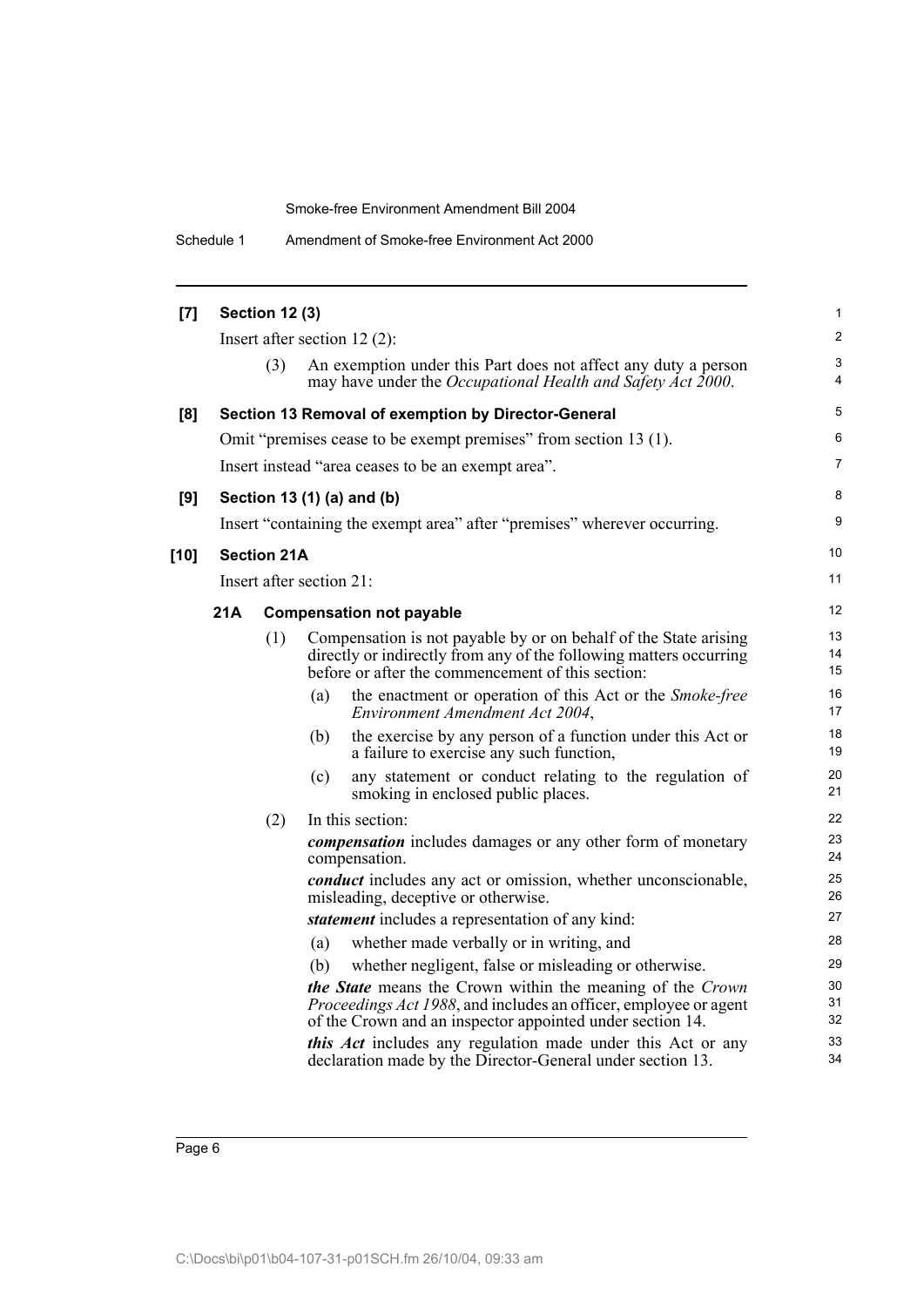| [7]    |     | <b>Section 12 (3)</b> |                          |                                                                                                                                                                                             | 1               |
|--------|-----|-----------------------|--------------------------|---------------------------------------------------------------------------------------------------------------------------------------------------------------------------------------------|-----------------|
|        |     |                       |                          | Insert after section $12(2)$ :                                                                                                                                                              | $\overline{2}$  |
|        |     | (3)                   |                          | An exemption under this Part does not affect any duty a person<br>may have under the <i>Occupational Health and Safety Act</i> 2000.                                                        | 3<br>4          |
| [8]    |     |                       |                          | Section 13 Removal of exemption by Director-General                                                                                                                                         | 5               |
|        |     |                       |                          | Omit "premises cease to be exempt premises" from section 13 (1).                                                                                                                            | 6               |
|        |     |                       |                          | Insert instead "area ceases to be an exempt area".                                                                                                                                          | $\overline{7}$  |
| [9]    |     |                       |                          | Section 13 (1) (a) and (b)                                                                                                                                                                  | 8               |
|        |     |                       |                          | Insert "containing the exempt area" after "premises" wherever occurring.                                                                                                                    | 9               |
| $[10]$ |     | <b>Section 21A</b>    |                          |                                                                                                                                                                                             | 10 <sup>°</sup> |
|        |     |                       | Insert after section 21: |                                                                                                                                                                                             | 11              |
|        | 21A |                       |                          | <b>Compensation not payable</b>                                                                                                                                                             | 12              |
|        |     | (1)                   |                          | Compensation is not payable by or on behalf of the State arising<br>directly or indirectly from any of the following matters occurring<br>before or after the commencement of this section: | 13<br>14<br>15  |
|        |     |                       | (a)                      | the enactment or operation of this Act or the Smoke-free<br>Environment Amendment Act 2004,                                                                                                 | 16<br>17        |
|        |     |                       | (b)                      | the exercise by any person of a function under this Act or<br>a failure to exercise any such function,                                                                                      | 18<br>19        |
|        |     |                       | (c)                      | any statement or conduct relating to the regulation of<br>smoking in enclosed public places.                                                                                                | 20<br>21        |
|        |     | (2)                   |                          | In this section:                                                                                                                                                                            | 22              |
|        |     |                       |                          | <i>compensation</i> includes damages or any other form of monetary<br>compensation.                                                                                                         | 23<br>24        |
|        |     |                       |                          | <i>conduct</i> includes any act or omission, whether unconscionable,<br>misleading, deceptive or otherwise.                                                                                 | 25<br>26        |
|        |     |                       |                          | statement includes a representation of any kind:                                                                                                                                            | 27              |
|        |     |                       | (a)                      | whether made verbally or in writing, and                                                                                                                                                    | 28              |
|        |     |                       | (b)                      | whether negligent, false or misleading or otherwise.                                                                                                                                        | 29              |
|        |     |                       |                          | the State means the Crown within the meaning of the Crown<br>Proceedings Act 1988, and includes an officer, employee or agent<br>of the Crown and an inspector appointed under section 14.  | 30<br>31<br>32  |
|        |     |                       |                          | this Act includes any regulation made under this Act or any<br>declaration made by the Director-General under section 13.                                                                   | 33<br>34        |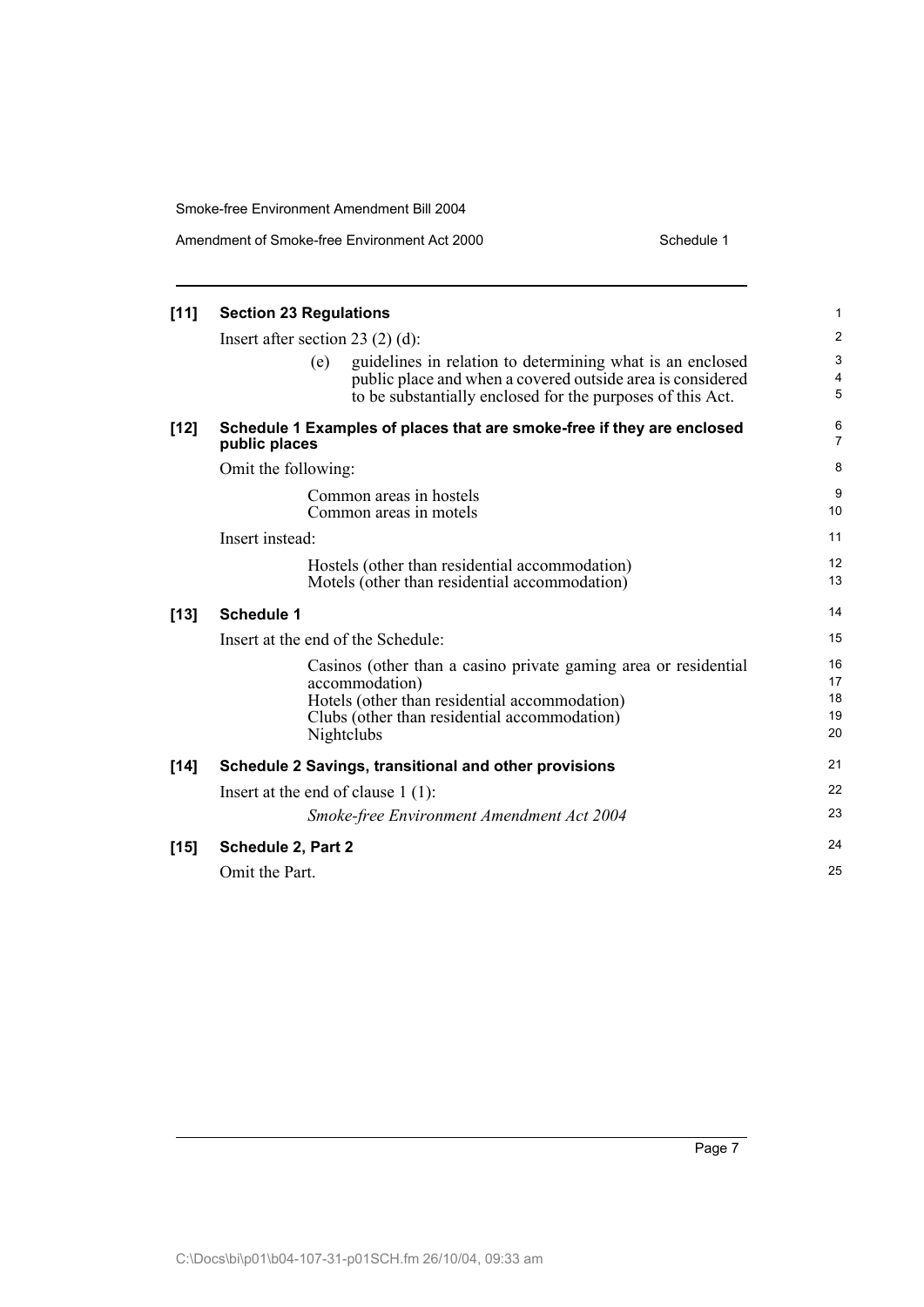Amendment of Smoke-free Environment Act 2000 Schedule 1

| [11]   | <b>Section 23 Regulations</b>         |                                                                                                                                                                                                  | 1                          |
|--------|---------------------------------------|--------------------------------------------------------------------------------------------------------------------------------------------------------------------------------------------------|----------------------------|
|        | Insert after section 23 $(2)$ $(d)$ : |                                                                                                                                                                                                  | $\overline{c}$             |
|        | (e)                                   | guidelines in relation to determining what is an enclosed<br>public place and when a covered outside area is considered<br>to be substantially enclosed for the purposes of this Act.            | 3<br>4<br>5                |
| $[12]$ | public places                         | Schedule 1 Examples of places that are smoke-free if they are enclosed                                                                                                                           | 6<br>7                     |
|        | Omit the following:                   |                                                                                                                                                                                                  | 8                          |
|        |                                       | Common areas in hostels<br>Common areas in motels                                                                                                                                                | 9<br>10                    |
|        | Insert instead:                       |                                                                                                                                                                                                  | 11                         |
|        |                                       | Hostels (other than residential accommodation)<br>Motels (other than residential accommodation)                                                                                                  | 12<br>13                   |
| $[13]$ | <b>Schedule 1</b>                     |                                                                                                                                                                                                  | 14                         |
|        | Insert at the end of the Schedule:    |                                                                                                                                                                                                  | 15                         |
|        |                                       | Casinos (other than a casino private gaming area or residential<br>accommodation)<br>Hotels (other than residential accommodation)<br>Clubs (other than residential accommodation)<br>Nightclubs | 16<br>17<br>18<br>19<br>20 |
| $[14]$ |                                       | Schedule 2 Savings, transitional and other provisions                                                                                                                                            | 21                         |
|        | Insert at the end of clause $1(1)$ :  |                                                                                                                                                                                                  | 22                         |
|        |                                       | Smoke-free Environment Amendment Act 2004                                                                                                                                                        | 23                         |
| $[15]$ | Schedule 2, Part 2                    |                                                                                                                                                                                                  | 24                         |
|        | Omit the Part.                        |                                                                                                                                                                                                  | 25                         |